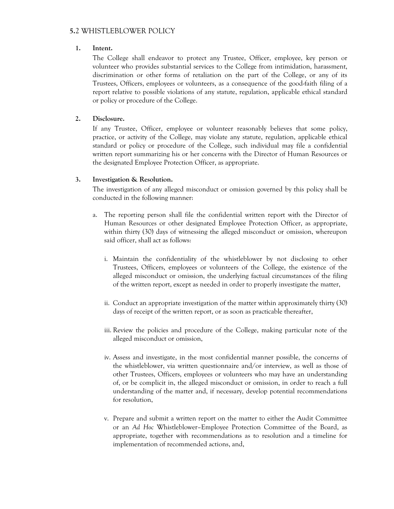# **5.**2 WHISTLEBLOWER POLICY

### **1. Intent.**

The College shall endeavor to protect any Trustee, Officer, employee, key person or volunteer who provides substantial services to the College from intimidation, harassment, discrimination or other forms of retaliation on the part of the College, or any of its Trustees, Officers, employees or volunteers, as a consequence of the good-faith filing of a report relative to possible violations of any statute, regulation, applicable ethical standard or policy or procedure of the College.

## **2. Disclosure.**

If any Trustee, Officer, employee or volunteer reasonably believes that some policy, practice, or activity of the College, may violate any statute, regulation, applicable ethical standard or policy or procedure of the College, such individual may file a confidential written report summarizing his or her concerns with the Director of Human Resources or the designated Employee Protection Officer, as appropriate.

## **3. Investigation & Resolution.**

The investigation of any alleged misconduct or omission governed by this policy shall be conducted in the following manner:

- a. The reporting person shall file the confidential written report with the Director of Human Resources or other designated Employee Protection Officer, as appropriate, within thirty (30) days of witnessing the alleged misconduct or omission, whereupon said officer, shall act as follows:
	- i. Maintain the confidentiality of the whistleblower by not disclosing to other Trustees, Officers, employees or volunteers of the College, the existence of the alleged misconduct or omission, the underlying factual circumstances of the filing of the written report, except as needed in order to properly investigate the matter,
	- ii. Conduct an appropriate investigation of the matter within approximately thirty (30) days of receipt of the written report, or as soon as practicable thereafter,
	- iii. Review the policies and procedure of the College, making particular note of the alleged misconduct or omission,
	- iv. Assess and investigate, in the most confidential manner possible, the concerns of the whistleblower, via written questionnaire and/or interview, as well as those of other Trustees, Officers, employees or volunteers who may have an understanding of, or be complicit in, the alleged misconduct or omission, in order to reach a full understanding of the matter and, if necessary, develop potential recommendations for resolution,
	- v. Prepare and submit a written report on the matter to either the Audit Committee or an *Ad Hoc* Whistleblower–Employee Protection Committee of the Board, as appropriate, together with recommendations as to resolution and a timeline for implementation of recommended actions, and,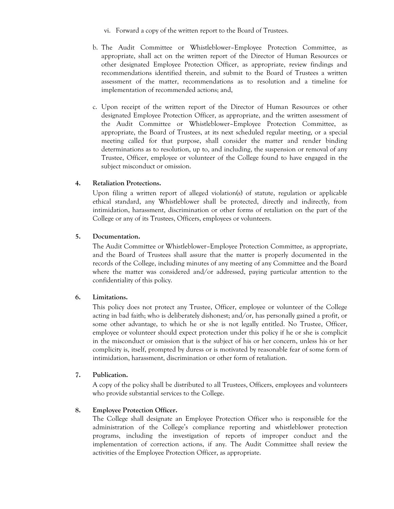- vi. Forward a copy of the written report to the Board of Trustees.
- b. The Audit Committee or Whistleblower–Employee Protection Committee, as appropriate, shall act on the written report of the Director of Human Resources or other designated Employee Protection Officer, as appropriate, review findings and recommendations identified therein, and submit to the Board of Trustees a written assessment of the matter, recommendations as to resolution and a timeline for implementation of recommended actions; and,
- c. Upon receipt of the written report of the Director of Human Resources or other designated Employee Protection Officer, as appropriate, and the written assessment of the Audit Committee or Whistleblower–Employee Protection Committee, as appropriate, the Board of Trustees, at its next scheduled regular meeting, or a special meeting called for that purpose, shall consider the matter and render binding determinations as to resolution, up to, and including, the suspension or removal of any Trustee, Officer, employee or volunteer of the College found to have engaged in the subject misconduct or omission.

## **4. Retaliation Protections.**

Upon filing a written report of alleged violation(s) of statute, regulation or applicable ethical standard, any Whistleblower shall be protected, directly and indirectly, from intimidation, harassment, discrimination or other forms of retaliation on the part of the College or any of its Trustees, Officers, employees or volunteers.

#### **5. Documentation.**

The Audit Committee or Whistleblower–Employee Protection Committee, as appropriate, and the Board of Trustees shall assure that the matter is properly documented in the records of the College, including minutes of any meeting of any Committee and the Board where the matter was considered and/or addressed, paying particular attention to the confidentiality of this policy.

#### **6. Limitations.**

This policy does not protect any Trustee, Officer, employee or volunteer of the College acting in bad faith; who is deliberately dishonest; and/or, has personally gained a profit, or some other advantage, to which he or she is not legally entitled. No Trustee, Officer, employee or volunteer should expect protection under this policy if he or she is complicit in the misconduct or omission that is the subject of his or her concern, unless his or her complicity is, itself, prompted by duress or is motivated by reasonable fear of some form of intimidation, harassment, discrimination or other form of retaliation.

#### **7. Publication.**

A copy of the policy shall be distributed to all Trustees, Officers, employees and volunteers who provide substantial services to the College.

#### **8. Employee Protection Officer.**

The College shall designate an Employee Protection Officer who is responsible for the administration of the College's compliance reporting and whistleblower protection programs, including the investigation of reports of improper conduct and the implementation of correction actions, if any. The Audit Committee shall review the activities of the Employee Protection Officer, as appropriate.